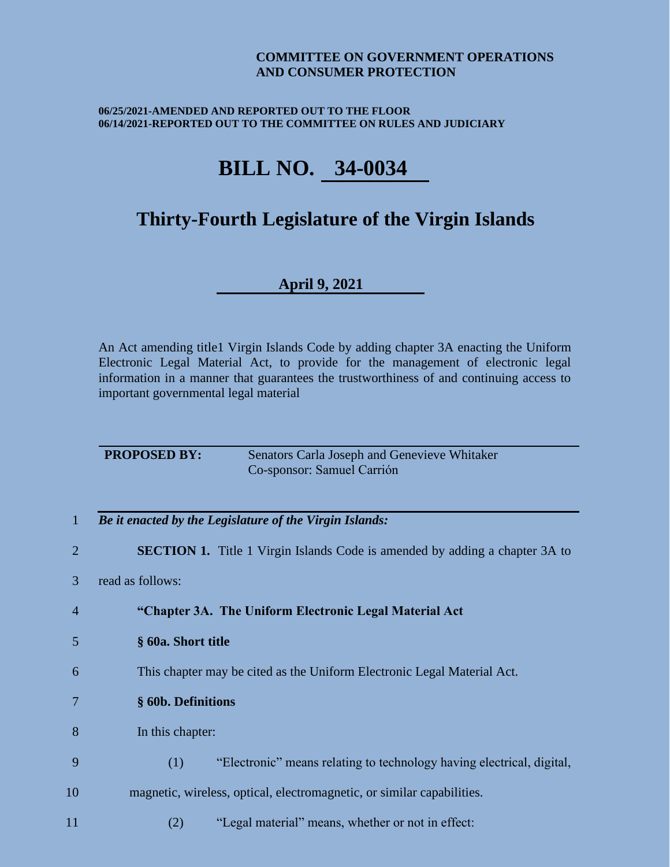### **COMMITTEE ON GOVERNMENT OPERATIONS AND CONSUMER PROTECTION**

### **06/25/2021-AMENDED AND REPORTED OUT TO THE FLOOR 06/14/2021-REPORTED OUT TO THE COMMITTEE ON RULES AND JUDICIARY**

# **BILL NO. 34-0034**

## **Thirty-Fourth Legislature of the Virgin Islands**

## **April 9, 2021**

An Act amending title1 Virgin Islands Code by adding chapter 3A enacting the Uniform Electronic Legal Material Act, to provide for the management of electronic legal information in a manner that guarantees the trustworthiness of and continuing access to important governmental legal material

| <b>PROPOSED BY:</b> | Senators Carla Joseph and Genevieve Whitaker |
|---------------------|----------------------------------------------|
|                     | Co-sponsor: Samuel Carrión                   |

- 1 *Be it enacted by the Legislature of the Virgin Islands:*
- 2 **SECTION 1.** Title 1 Virgin Islands Code is amended by adding a chapter 3A to
- 3 read as follows:
- 4 **"Chapter 3A. The Uniform Electronic Legal Material Act**
- 5 **§ 60a. Short title**
- 6 This chapter may be cited as the Uniform Electronic Legal Material Act.
- 7 **§ 60b. Definitions**
- 8 In this chapter:
- 9 (1) "Electronic" means relating to technology having electrical, digital,
- 10 magnetic, wireless, optical, electromagnetic, or similar capabilities.
- 11 (2) "Legal material" means, whether or not in effect: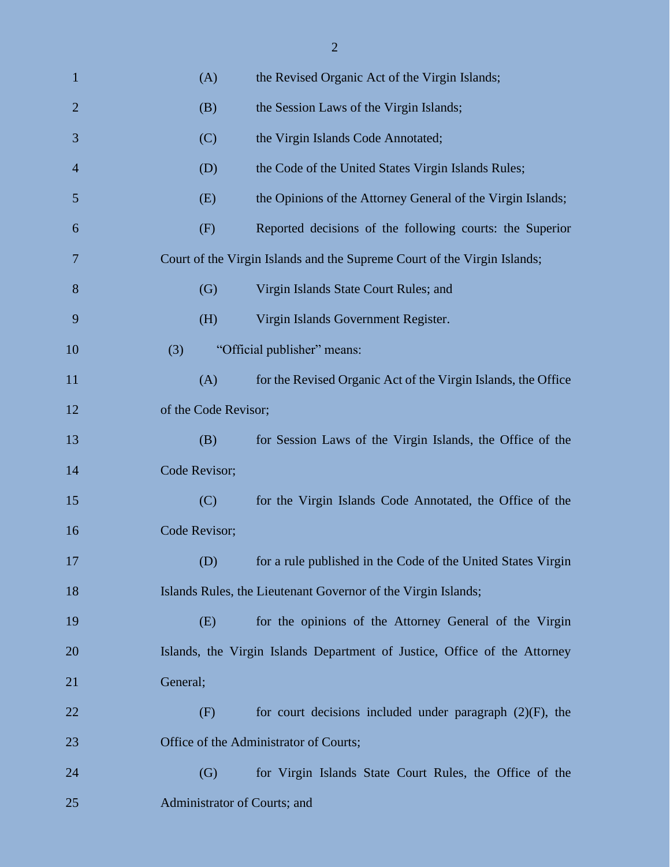| 1              | (A)                          | the Revised Organic Act of the Virgin Islands;                            |  |
|----------------|------------------------------|---------------------------------------------------------------------------|--|
| $\overline{2}$ | (B)                          | the Session Laws of the Virgin Islands;                                   |  |
| 3              | (C)                          | the Virgin Islands Code Annotated;                                        |  |
| $\overline{4}$ | (D)                          | the Code of the United States Virgin Islands Rules;                       |  |
| 5              | (E)                          | the Opinions of the Attorney General of the Virgin Islands;               |  |
| 6              | (F)                          | Reported decisions of the following courts: the Superior                  |  |
| 7              |                              | Court of the Virgin Islands and the Supreme Court of the Virgin Islands;  |  |
| 8              | (G)                          | Virgin Islands State Court Rules; and                                     |  |
| 9              | (H)                          | Virgin Islands Government Register.                                       |  |
| 10             | (3)                          | "Official publisher" means:                                               |  |
| 11             | (A)                          | for the Revised Organic Act of the Virgin Islands, the Office             |  |
| 12             | of the Code Revisor;         |                                                                           |  |
| 13             | (B)                          | for Session Laws of the Virgin Islands, the Office of the                 |  |
| 14             | Code Revisor;                |                                                                           |  |
| 15             | (C)                          | for the Virgin Islands Code Annotated, the Office of the                  |  |
| 16             | Code Revisor;                |                                                                           |  |
| 17             | (D)                          | for a rule published in the Code of the United States Virgin              |  |
| 18             |                              | Islands Rules, the Lieutenant Governor of the Virgin Islands;             |  |
| 19             | (E)                          | for the opinions of the Attorney General of the Virgin                    |  |
| 20             |                              | Islands, the Virgin Islands Department of Justice, Office of the Attorney |  |
| 21             | General;                     |                                                                           |  |
| 22             | (F)                          | for court decisions included under paragraph $(2)(F)$ , the               |  |
| 23             |                              | Office of the Administrator of Courts;                                    |  |
| 24             | (G)                          | for Virgin Islands State Court Rules, the Office of the                   |  |
| 25             | Administrator of Courts; and |                                                                           |  |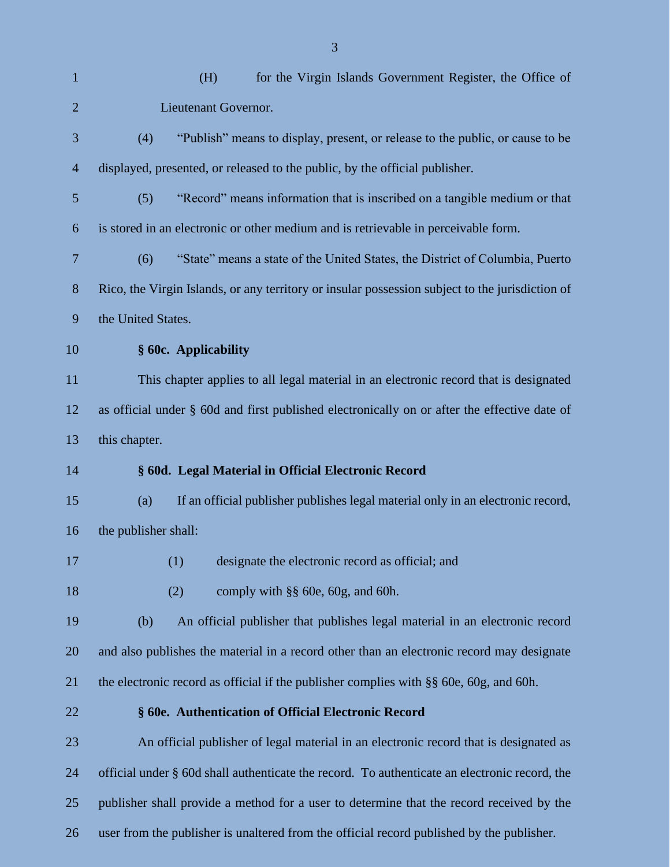| $\mathbf{1}$   | for the Virgin Islands Government Register, the Office of<br>(H)                                |
|----------------|-------------------------------------------------------------------------------------------------|
| $\overline{2}$ | Lieutenant Governor.                                                                            |
| 3              | "Publish" means to display, present, or release to the public, or cause to be<br>(4)            |
| $\overline{4}$ | displayed, presented, or released to the public, by the official publisher.                     |
| 5              | "Record" means information that is inscribed on a tangible medium or that<br>(5)                |
| 6              | is stored in an electronic or other medium and is retrievable in perceivable form.              |
| 7              | "State" means a state of the United States, the District of Columbia, Puerto<br>(6)             |
| 8              | Rico, the Virgin Islands, or any territory or insular possession subject to the jurisdiction of |
| 9              | the United States.                                                                              |
| 10             | § 60c. Applicability                                                                            |
| 11             | This chapter applies to all legal material in an electronic record that is designated           |
| 12             | as official under § 60d and first published electronically on or after the effective date of    |
| 13             | this chapter.                                                                                   |
| 14             | § 60d. Legal Material in Official Electronic Record                                             |
| 15             | If an official publisher publishes legal material only in an electronic record,<br>(a)          |
| 16             | the publisher shall:                                                                            |
| 17             | (1)<br>designate the electronic record as official; and                                         |
| 18             | comply with §§ 60e, 60g, and 60h.<br>(2)                                                        |
| 19             | (b)<br>An official publisher that publishes legal material in an electronic record              |
| 20             | and also publishes the material in a record other than an electronic record may designate       |
| 21             | the electronic record as official if the publisher complies with $\S$ 60e, 60g, and 60h.        |
| 22             | § 60e. Authentication of Official Electronic Record                                             |
| 23             | An official publisher of legal material in an electronic record that is designated as           |
| 24             | official under § 60d shall authenticate the record. To authenticate an electronic record, the   |
| 25             | publisher shall provide a method for a user to determine that the record received by the        |

user from the publisher is unaltered from the official record published by the publisher.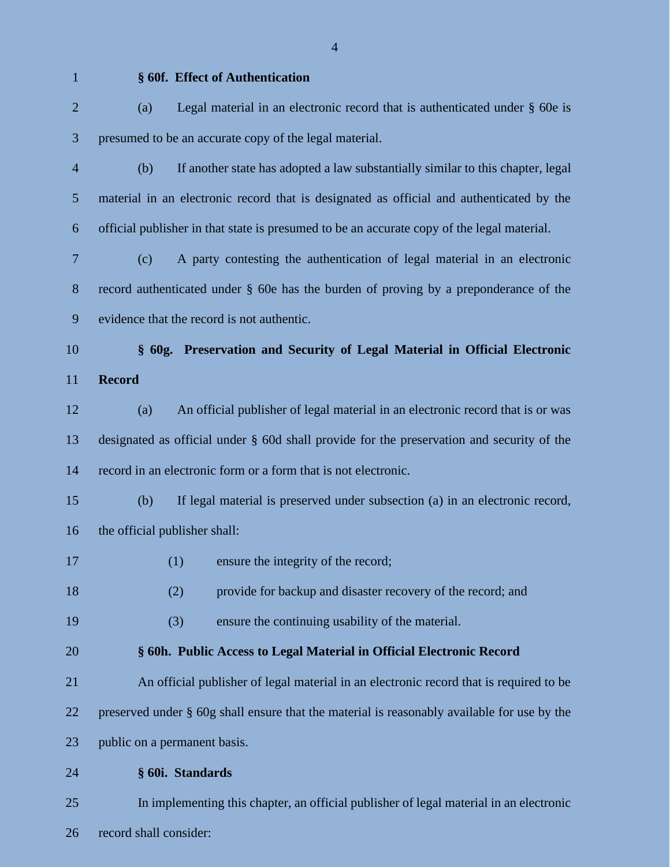#### **§ 60f. Effect of Authentication**

 (a) Legal material in an electronic record that is authenticated under § 60e is presumed to be an accurate copy of the legal material.

- (b) If another state has adopted a law substantially similar to this chapter, legal material in an electronic record that is designated as official and authenticated by the official publisher in that state is presumed to be an accurate copy of the legal material.
- (c) A party contesting the authentication of legal material in an electronic record authenticated under § 60e has the burden of proving by a preponderance of the evidence that the record is not authentic.
- 

# **§ 60g. Preservation and Security of Legal Material in Official Electronic Record**

 (a) An official publisher of legal material in an electronic record that is or was designated as official under § 60d shall provide for the preservation and security of the record in an electronic form or a form that is not electronic.

- (b) If legal material is preserved under subsection (a) in an electronic record, the official publisher shall:
- 17 (1) ensure the integrity of the record;
- 18 (2) provide for backup and disaster recovery of the record; and
- (3) ensure the continuing usability of the material.

## **§ 60h. Public Access to Legal Material in Official Electronic Record**

 An official publisher of legal material in an electronic record that is required to be preserved under § 60g shall ensure that the material is reasonably available for use by the public on a permanent basis.

**§ 60i. Standards**

 In implementing this chapter, an official publisher of legal material in an electronic record shall consider: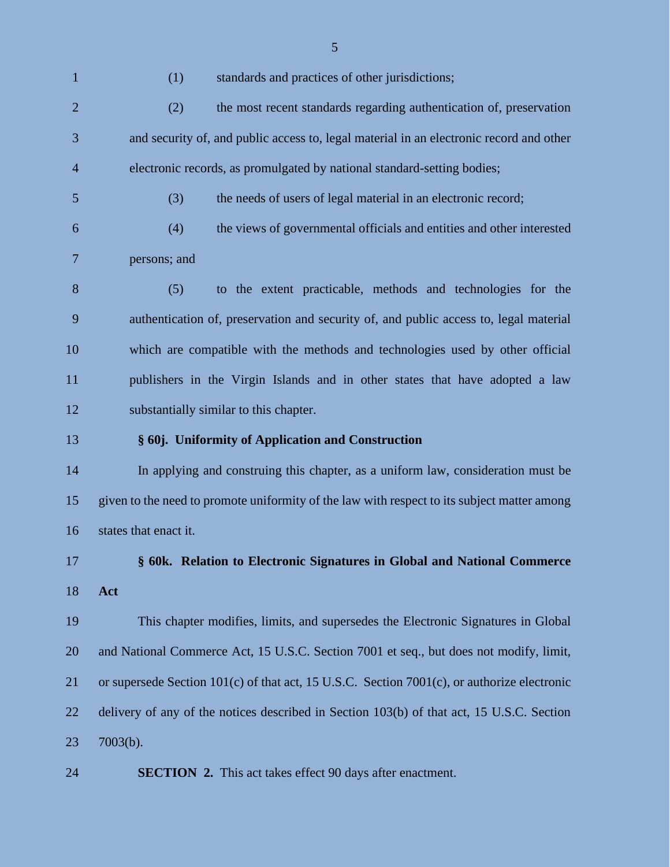(1) standards and practices of other jurisdictions; (2) the most recent standards regarding authentication of, preservation and security of, and public access to, legal material in an electronic record and other electronic records, as promulgated by national standard-setting bodies; (3) the needs of users of legal material in an electronic record; (4) the views of governmental officials and entities and other interested persons; and (5) to the extent practicable, methods and technologies for the authentication of, preservation and security of, and public access to, legal material which are compatible with the methods and technologies used by other official publishers in the Virgin Islands and in other states that have adopted a law substantially similar to this chapter. **§ 60j. Uniformity of Application and Construction** In applying and construing this chapter, as a uniform law, consideration must be given to the need to promote uniformity of the law with respect to its subject matter among states that enact it. **§ 60k. Relation to Electronic Signatures in Global and National Commerce Act** This chapter modifies, limits, and supersedes the Electronic Signatures in Global and National Commerce Act, 15 U.S.C. Section 7001 et seq., but does not modify, limit, or supersede Section 101(c) of that act, 15 U.S.C. Section 7001(c), or authorize electronic delivery of any of the notices described in Section 103(b) of that act, 15 U.S.C. Section 7003(b). **SECTION 2.** This act takes effect 90 days after enactment.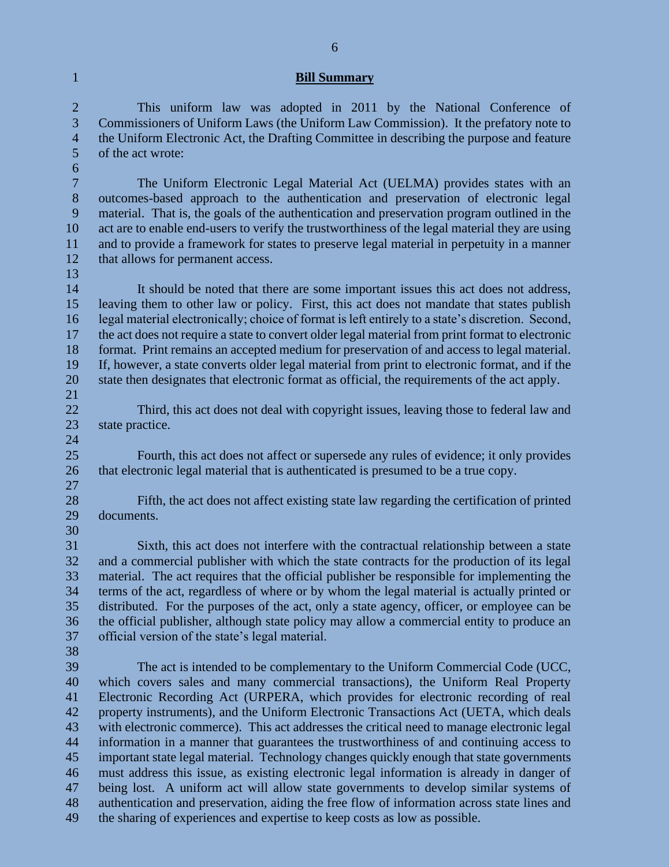### **Bill Summary**

 This uniform law was adopted in 2011 by the National Conference of Commissioners of Uniform Laws (the Uniform Law Commission). It the prefatory note to the Uniform Electronic Act, the Drafting Committee in describing the purpose and feature of the act wrote:

 The Uniform Electronic Legal Material Act (UELMA) provides states with an outcomes-based approach to the authentication and preservation of electronic legal material. That is, the goals of the authentication and preservation program outlined in the act are to enable end-users to verify the trustworthiness of the legal material they are using and to provide a framework for states to preserve legal material in perpetuity in a manner that allows for permanent access.

 It should be noted that there are some important issues this act does not address, leaving them to other law or policy. First, this act does not mandate that states publish legal material electronically; choice of format is left entirely to a state's discretion. Second, the act does not require a state to convert older legal material from print format to electronic format. Print remains an accepted medium for preservation of and access to legal material. If, however, a state converts older legal material from print to electronic format, and if the state then designates that electronic format as official, the requirements of the act apply. 

 Third, this act does not deal with copyright issues, leaving those to federal law and state practice. 

- Fourth, this act does not affect or supersede any rules of evidence; it only provides that electronic legal material that is authenticated is presumed to be a true copy.
- 

 Fifth, the act does not affect existing state law regarding the certification of printed documents. 

 Sixth, this act does not interfere with the contractual relationship between a state and a commercial publisher with which the state contracts for the production of its legal material. The act requires that the official publisher be responsible for implementing the terms of the act, regardless of where or by whom the legal material is actually printed or distributed. For the purposes of the act, only a state agency, officer, or employee can be the official publisher, although state policy may allow a commercial entity to produce an official version of the state's legal material.

 The act is intended to be complementary to the Uniform Commercial Code (UCC, which covers sales and many commercial transactions), the Uniform Real Property Electronic Recording Act (URPERA, which provides for electronic recording of real property instruments), and the Uniform Electronic Transactions Act (UETA, which deals with electronic commerce). This act addresses the critical need to manage electronic legal information in a manner that guarantees the trustworthiness of and continuing access to important state legal material. Technology changes quickly enough that state governments must address this issue, as existing electronic legal information is already in danger of being lost. A uniform act will allow state governments to develop similar systems of authentication and preservation, aiding the free flow of information across state lines and the sharing of experiences and expertise to keep costs as low as possible.